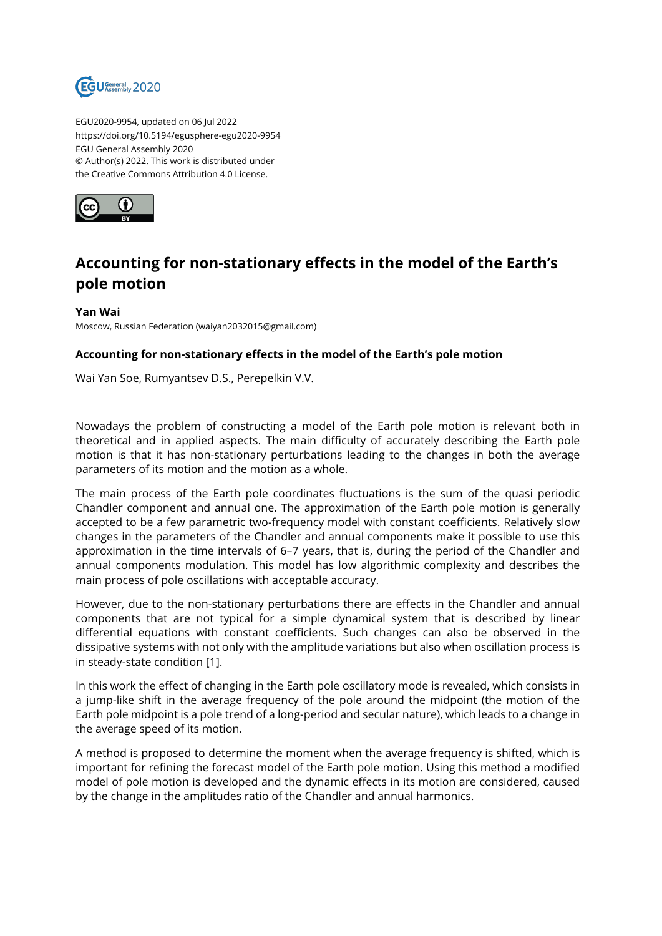

EGU2020-9954, updated on 06 Jul 2022 https://doi.org/10.5194/egusphere-egu2020-9954 EGU General Assembly 2020 © Author(s) 2022. This work is distributed under the Creative Commons Attribution 4.0 License.



## **Accounting for non-stationary effects in the model of the Earth's pole motion**

## **Yan Wai**

Moscow, Russian Federation (waiyan2032015@gmail.com)

## **Accounting for non-stationary effects in the model of the Earth's pole motion**

Wai Yan Soe, Rumyantsev D.S., Perepelkin V.V.

Nowadays the problem of constructing a model of the Earth pole motion is relevant both in theoretical and in applied aspects. The main difficulty of accurately describing the Earth pole motion is that it has non-stationary perturbations leading to the changes in both the average parameters of its motion and the motion as a whole.

The main process of the Earth pole coordinates fluctuations is the sum of the quasi periodic Chandler component and annual one. The approximation of the Earth pole motion is generally accepted to be a few parametric two-frequency model with constant coefficients. Relatively slow changes in the parameters of the Chandler and annual components make it possible to use this approximation in the time intervals of 6–7 years, that is, during the period of the Chandler and annual components modulation. This model has low algorithmic complexity and describes the main process of pole oscillations with acceptable accuracy.

However, due to the non-stationary perturbations there are effects in the Chandler and annual components that are not typical for a simple dynamical system that is described by linear differential equations with constant coefficients. Such changes can also be observed in the dissipative systems with not only with the amplitude variations but also when oscillation process is in steady-state condition [1].

In this work the effect of changing in the Earth pole oscillatory mode is revealed, which consists in a jump-like shift in the average frequency of the pole around the midpoint (the motion of the Earth pole midpoint is a pole trend of a long-period and secular nature), which leads to a change in the average speed of its motion.

A method is proposed to determine the moment when the average frequency is shifted, which is important for refining the forecast model of the Earth pole motion. Using this method a modified model of pole motion is developed and the dynamic effects in its motion are considered, caused by the change in the amplitudes ratio of the Chandler and annual harmonics.